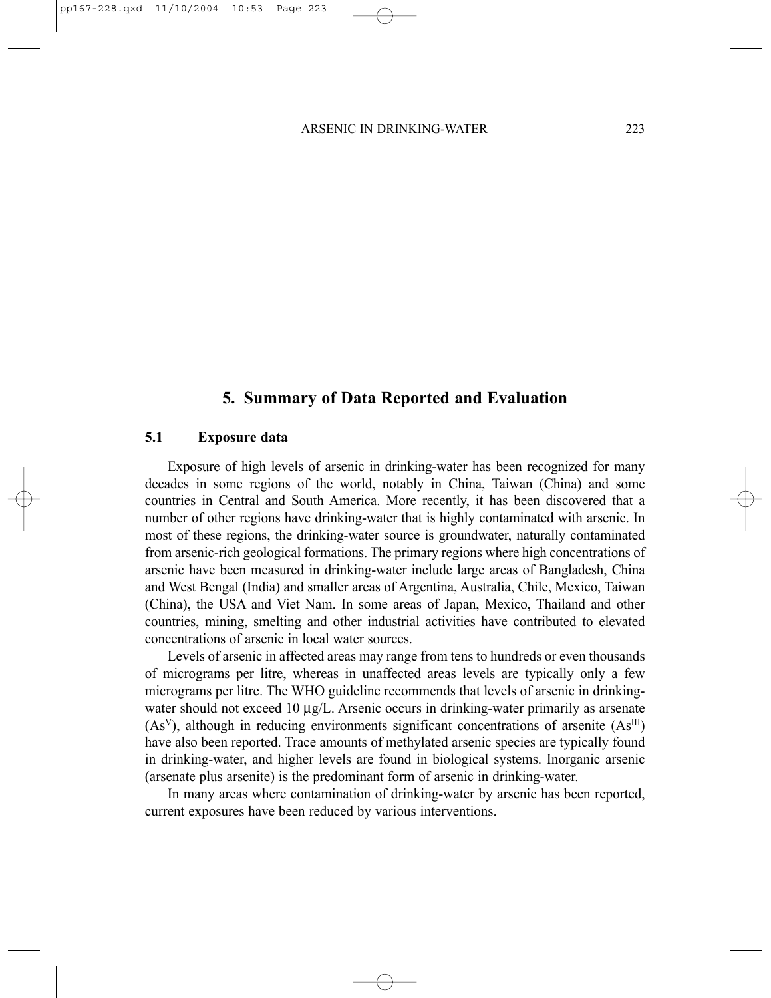# **5. Summary of Data Reported and Evaluation**

## **5.1 Exposure data**

Exposure of high levels of arsenic in drinking-water has been recognized for many decades in some regions of the world, notably in China, Taiwan (China) and some countries in Central and South America. More recently, it has been discovered that a number of other regions have drinking-water that is highly contaminated with arsenic. In most of these regions, the drinking-water source is groundwater, naturally contaminated from arsenic-rich geological formations. The primary regions where high concentrations of arsenic have been measured in drinking-water include large areas of Bangladesh, China and West Bengal (India) and smaller areas of Argentina, Australia, Chile, Mexico, Taiwan (China), the USA and Viet Nam. In some areas of Japan, Mexico, Thailand and other countries, mining, smelting and other industrial activities have contributed to elevated concentrations of arsenic in local water sources.

Levels of arsenic in affected areas may range from tens to hundreds or even thousands of micrograms per litre, whereas in unaffected areas levels are typically only a few micrograms per litre. The WHO guideline recommends that levels of arsenic in drinkingwater should not exceed 10  $\mu$ g/L. Arsenic occurs in drinking-water primarily as arsenate  $(As<sup>V</sup>)$ , although in reducing environments significant concentrations of arsenite  $(As<sup>III</sup>)$ have also been reported. Trace amounts of methylated arsenic species are typically found in drinking-water, and higher levels are found in biological systems. Inorganic arsenic (arsenate plus arsenite) is the predominant form of arsenic in drinking-water.

In many areas where contamination of drinking-water by arsenic has been reported, current exposures have been reduced by various interventions.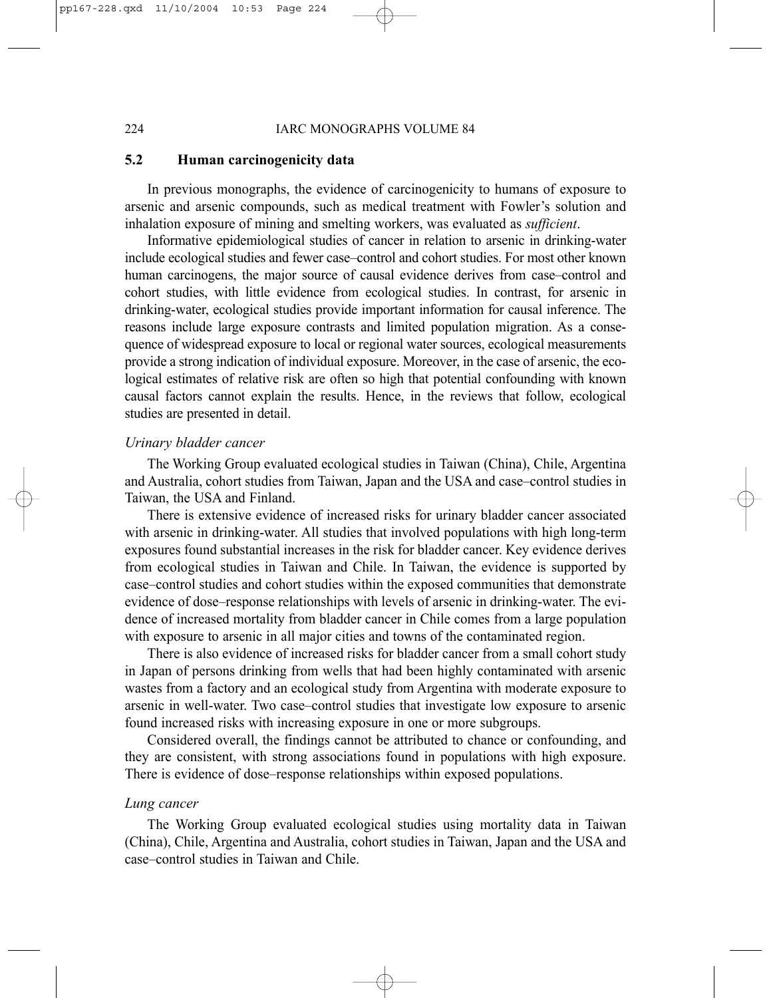#### 224 IARC MONOGRAPHS VOLUME 84

## **5.2 Human carcinogenicity data**

In previous monographs, the evidence of carcinogenicity to humans of exposure to arsenic and arsenic compounds, such as medical treatment with Fowler's solution and inhalation exposure of mining and smelting workers, was evaluated as *sufficient*.

Informative epidemiological studies of cancer in relation to arsenic in drinking-water include ecological studies and fewer case–control and cohort studies. For most other known human carcinogens, the major source of causal evidence derives from case–control and cohort studies, with little evidence from ecological studies. In contrast, for arsenic in drinking-water, ecological studies provide important information for causal inference. The reasons include large exposure contrasts and limited population migration. As a consequence of widespread exposure to local or regional water sources, ecological measurements provide a strong indication of individual exposure. Moreover, in the case of arsenic, the ecological estimates of relative risk are often so high that potential confounding with known causal factors cannot explain the results. Hence, in the reviews that follow, ecological studies are presented in detail.

## *Urinary bladder cancer*

The Working Group evaluated ecological studies in Taiwan (China), Chile, Argentina and Australia, cohort studies from Taiwan, Japan and the USA and case–control studies in Taiwan, the USA and Finland.

There is extensive evidence of increased risks for urinary bladder cancer associated with arsenic in drinking-water. All studies that involved populations with high long-term exposures found substantial increases in the risk for bladder cancer. Key evidence derives from ecological studies in Taiwan and Chile. In Taiwan, the evidence is supported by case–control studies and cohort studies within the exposed communities that demonstrate evidence of dose–response relationships with levels of arsenic in drinking-water. The evidence of increased mortality from bladder cancer in Chile comes from a large population with exposure to arsenic in all major cities and towns of the contaminated region.

There is also evidence of increased risks for bladder cancer from a small cohort study in Japan of persons drinking from wells that had been highly contaminated with arsenic wastes from a factory and an ecological study from Argentina with moderate exposure to arsenic in well-water. Two case–control studies that investigate low exposure to arsenic found increased risks with increasing exposure in one or more subgroups.

Considered overall, the findings cannot be attributed to chance or confounding, and they are consistent, with strong associations found in populations with high exposure. There is evidence of dose–response relationships within exposed populations.

## *Lung cancer*

The Working Group evaluated ecological studies using mortality data in Taiwan (China), Chile, Argentina and Australia, cohort studies in Taiwan, Japan and the USA and case–control studies in Taiwan and Chile.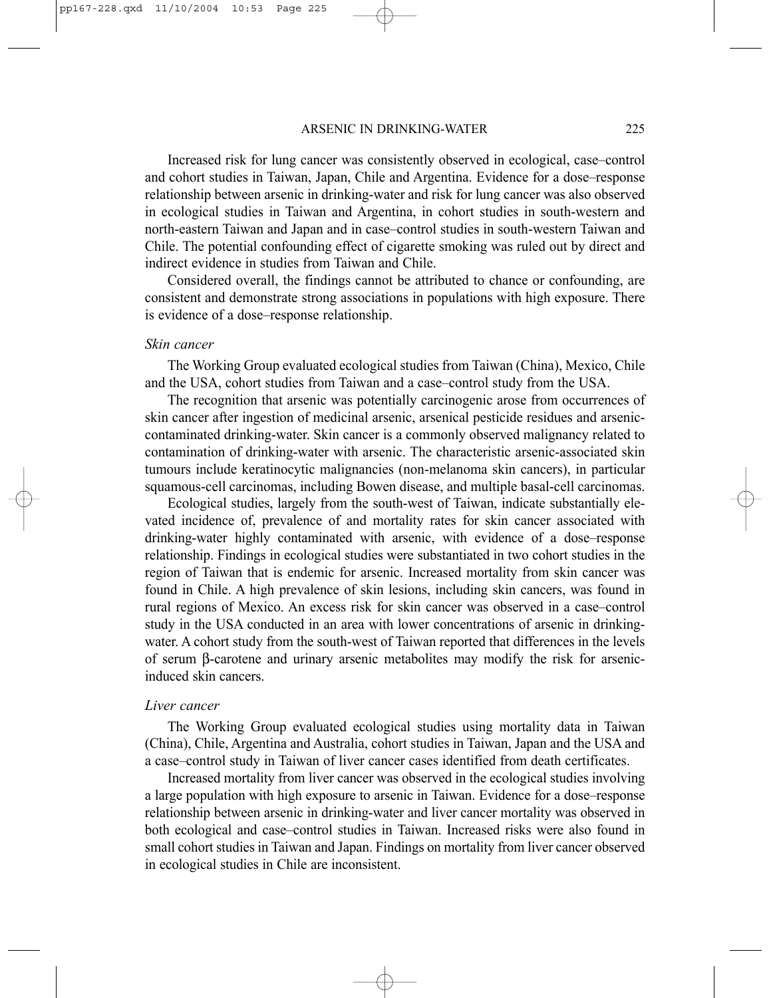Increased risk for lung cancer was consistently observed in ecological, case–control and cohort studies in Taiwan, Japan, Chile and Argentina. Evidence for a dose–response relationship between arsenic in drinking-water and risk for lung cancer was also observed in ecological studies in Taiwan and Argentina, in cohort studies in south-western and north-eastern Taiwan and Japan and in case–control studies in south-western Taiwan and Chile. The potential confounding effect of cigarette smoking was ruled out by direct and indirect evidence in studies from Taiwan and Chile.

Considered overall, the findings cannot be attributed to chance or confounding, are consistent and demonstrate strong associations in populations with high exposure. There is evidence of a dose–response relationship.

#### *Skin cancer*

The Working Group evaluated ecological studies from Taiwan (China), Mexico, Chile and the USA, cohort studies from Taiwan and a case–control study from the USA.

The recognition that arsenic was potentially carcinogenic arose from occurrences of skin cancer after ingestion of medicinal arsenic, arsenical pesticide residues and arseniccontaminated drinking-water. Skin cancer is a commonly observed malignancy related to contamination of drinking-water with arsenic. The characteristic arsenic-associated skin tumours include keratinocytic malignancies (non-melanoma skin cancers), in particular squamous-cell carcinomas, including Bowen disease, and multiple basal-cell carcinomas.

Ecological studies, largely from the south-west of Taiwan, indicate substantially elevated incidence of, prevalence of and mortality rates for skin cancer associated with drinking-water highly contaminated with arsenic, with evidence of a dose–response relationship. Findings in ecological studies were substantiated in two cohort studies in the region of Taiwan that is endemic for arsenic. Increased mortality from skin cancer was found in Chile. A high prevalence of skin lesions, including skin cancers, was found in rural regions of Mexico. An excess risk for skin cancer was observed in a case–control study in the USA conducted in an area with lower concentrations of arsenic in drinkingwater. A cohort study from the south-west of Taiwan reported that differences in the levels of serum β-carotene and urinary arsenic metabolites may modify the risk for arsenicinduced skin cancers.

#### *Liver cancer*

The Working Group evaluated ecological studies using mortality data in Taiwan (China), Chile, Argentina and Australia, cohort studies in Taiwan, Japan and the USA and a case–control study in Taiwan of liver cancer cases identified from death certificates.

Increased mortality from liver cancer was observed in the ecological studies involving a large population with high exposure to arsenic in Taiwan. Evidence for a dose–response relationship between arsenic in drinking-water and liver cancer mortality was observed in both ecological and case–control studies in Taiwan. Increased risks were also found in small cohort studies in Taiwan and Japan. Findings on mortality from liver cancer observed in ecological studies in Chile are inconsistent.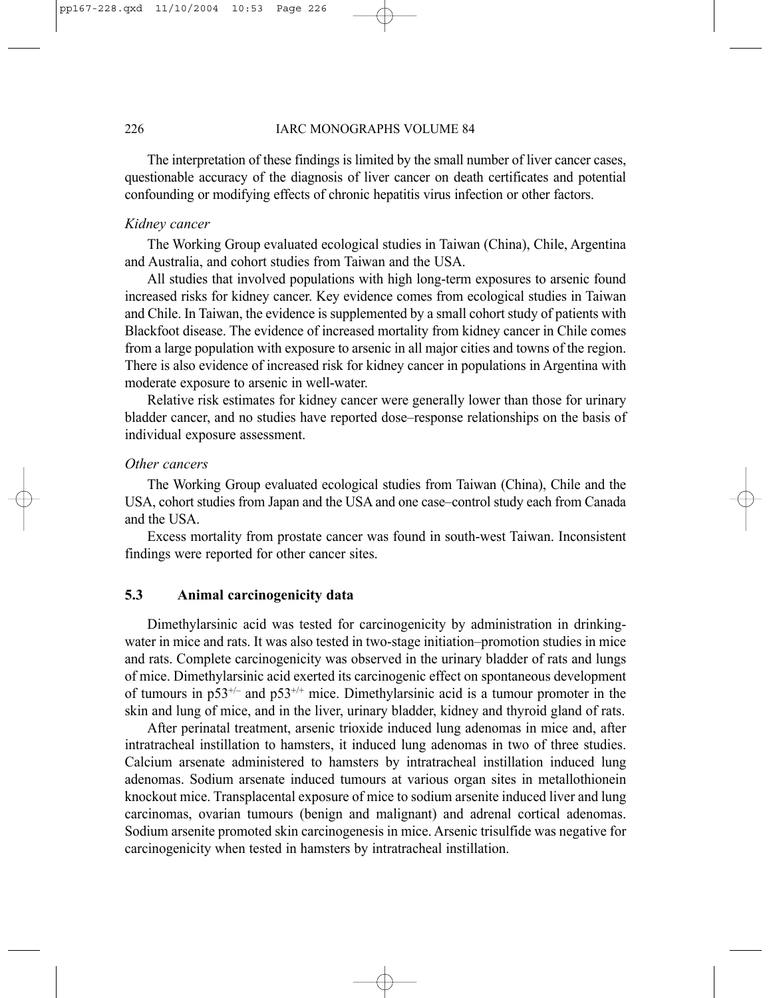#### 226 IARC MONOGRAPHS VOLUME 84

The interpretation of these findings is limited by the small number of liver cancer cases, questionable accuracy of the diagnosis of liver cancer on death certificates and potential confounding or modifying effects of chronic hepatitis virus infection or other factors.

## *Kidney cancer*

The Working Group evaluated ecological studies in Taiwan (China), Chile, Argentina and Australia, and cohort studies from Taiwan and the USA.

All studies that involved populations with high long-term exposures to arsenic found increased risks for kidney cancer. Key evidence comes from ecological studies in Taiwan and Chile. In Taiwan, the evidence is supplemented by a small cohort study of patients with Blackfoot disease. The evidence of increased mortality from kidney cancer in Chile comes from a large population with exposure to arsenic in all major cities and towns of the region. There is also evidence of increased risk for kidney cancer in populations in Argentina with moderate exposure to arsenic in well-water.

Relative risk estimates for kidney cancer were generally lower than those for urinary bladder cancer, and no studies have reported dose–response relationships on the basis of individual exposure assessment.

## *Other cancers*

The Working Group evaluated ecological studies from Taiwan (China), Chile and the USA, cohort studies from Japan and the USA and one case–control study each from Canada and the USA.

Excess mortality from prostate cancer was found in south-west Taiwan. Inconsistent findings were reported for other cancer sites.

# **5.3 Animal carcinogenicity data**

Dimethylarsinic acid was tested for carcinogenicity by administration in drinkingwater in mice and rats. It was also tested in two-stage initiation–promotion studies in mice and rats. Complete carcinogenicity was observed in the urinary bladder of rats and lungs of mice. Dimethylarsinic acid exerted its carcinogenic effect on spontaneous development of tumours in  $p53^{+/}$  and  $p53^{+/+}$  mice. Dimethylarsinic acid is a tumour promoter in the skin and lung of mice, and in the liver, urinary bladder, kidney and thyroid gland of rats.

After perinatal treatment, arsenic trioxide induced lung adenomas in mice and, after intratracheal instillation to hamsters, it induced lung adenomas in two of three studies. Calcium arsenate administered to hamsters by intratracheal instillation induced lung adenomas. Sodium arsenate induced tumours at various organ sites in metallothionein knockout mice. Transplacental exposure of mice to sodium arsenite induced liver and lung carcinomas, ovarian tumours (benign and malignant) and adrenal cortical adenomas. Sodium arsenite promoted skin carcinogenesis in mice. Arsenic trisulfide was negative for carcinogenicity when tested in hamsters by intratracheal instillation.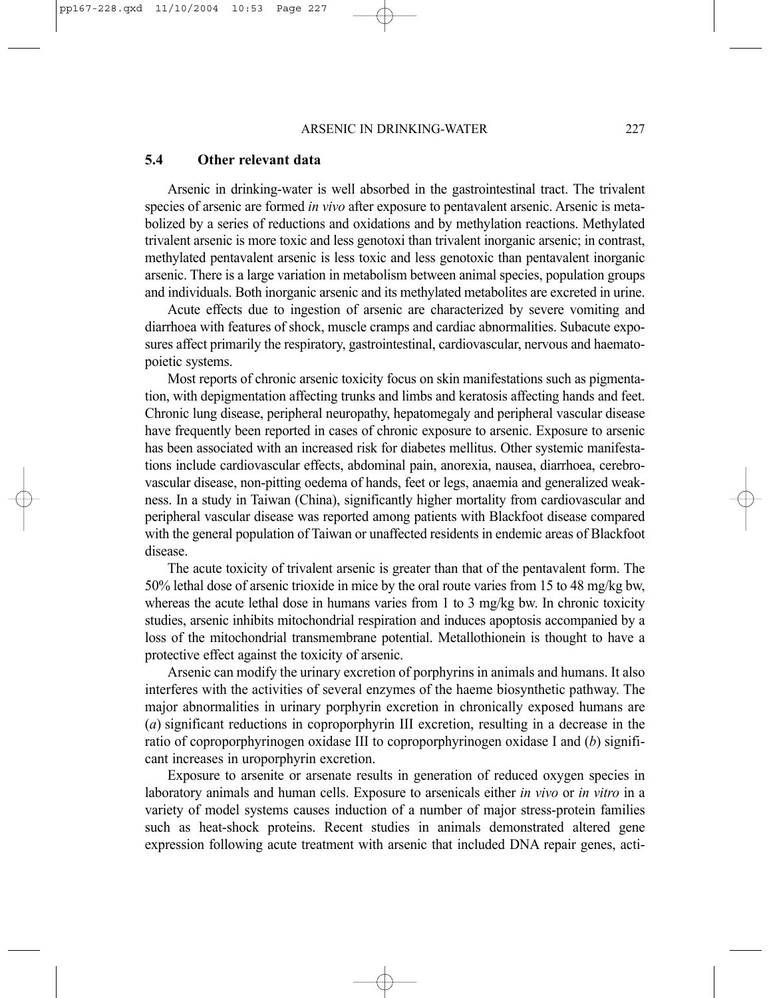#### **5.4 Other relevant data**

Arsenic in drinking-water is well absorbed in the gastrointestinal tract. The trivalent species of arsenic are formed *in vivo* after exposure to pentavalent arsenic. Arsenic is metabolized by a series of reductions and oxidations and by methylation reactions. Methylated trivalent arsenic is more toxic and less genotoxi than trivalent inorganic arsenic; in contrast, methylated pentavalent arsenic is less toxic and less genotoxic than pentavalent inorganic arsenic. There is a large variation in metabolism between animal species, population groups and individuals. Both inorganic arsenic and its methylated metabolites are excreted in urine.

Acute effects due to ingestion of arsenic are characterized by severe vomiting and diarrhoea with features of shock, muscle cramps and cardiac abnormalities. Subacute exposures affect primarily the respiratory, gastrointestinal, cardiovascular, nervous and haematopoietic systems.

Most reports of chronic arsenic toxicity focus on skin manifestations such as pigmentation, with depigmentation affecting trunks and limbs and keratosis affecting hands and feet. Chronic lung disease, peripheral neuropathy, hepatomegaly and peripheral vascular disease have frequently been reported in cases of chronic exposure to arsenic. Exposure to arsenic has been associated with an increased risk for diabetes mellitus. Other systemic manifestations include cardiovascular effects, abdominal pain, anorexia, nausea, diarrhoea, cerebrovascular disease, non-pitting oedema of hands, feet or legs, anaemia and generalized weakness. In a study in Taiwan (China), significantly higher mortality from cardiovascular and peripheral vascular disease was reported among patients with Blackfoot disease compared with the general population of Taiwan or unaffected residents in endemic areas of Blackfoot disease.

The acute toxicity of trivalent arsenic is greater than that of the pentavalent form. The 50% lethal dose of arsenic trioxide in mice by the oral route varies from 15 to 48 mg/kg bw, whereas the acute lethal dose in humans varies from 1 to 3 mg/kg bw. In chronic toxicity studies, arsenic inhibits mitochondrial respiration and induces apoptosis accompanied by a loss of the mitochondrial transmembrane potential. Metallothionein is thought to have a protective effect against the toxicity of arsenic.

Arsenic can modify the urinary excretion of porphyrins in animals and humans. It also interferes with the activities of several enzymes of the haeme biosynthetic pathway. The major abnormalities in urinary porphyrin excretion in chronically exposed humans are (*a*) significant reductions in coproporphyrin III excretion, resulting in a decrease in the ratio of coproporphyrinogen oxidase III to coproporphyrinogen oxidase I and (*b*) significant increases in uroporphyrin excretion.

Exposure to arsenite or arsenate results in generation of reduced oxygen species in laboratory animals and human cells. Exposure to arsenicals either *in vivo* or *in vitro* in a variety of model systems causes induction of a number of major stress-protein families such as heat-shock proteins. Recent studies in animals demonstrated altered gene expression following acute treatment with arsenic that included DNA repair genes, acti-